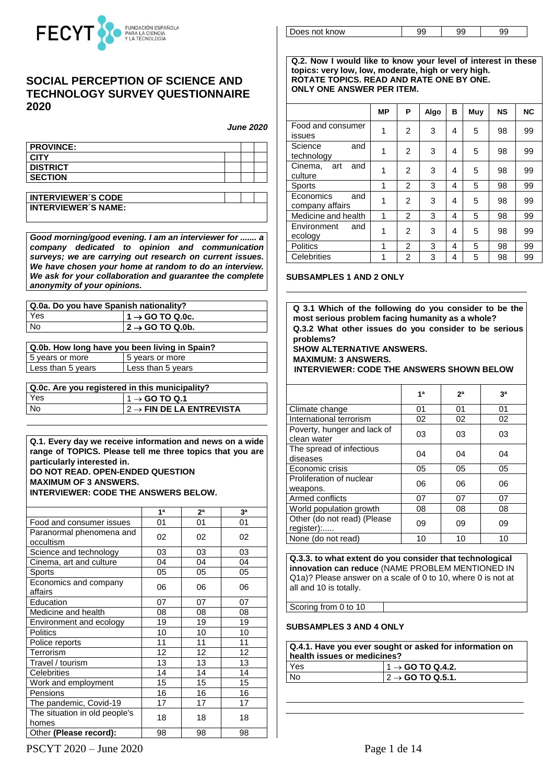

## **SOCIAL PERCEPTION OF SCIENCE AND TECHNOLOGY SURVEY QUESTIONNAIRE 2020**

*June 2020*

| <b>PROVINCE:</b> |  |  |
|------------------|--|--|
| <b>CITY</b>      |  |  |
| <b>DISTRICT</b>  |  |  |
| <b>SECTION</b>   |  |  |

| <b>INTERVIEWER'S CODE</b>  |  |
|----------------------------|--|
| <b>INTERVIEWER'S NAME:</b> |  |

*Good morning/good evening. I am an interviewer for ....... a company dedicated to opinion and communication surveys; we are carrying out research on current issues. We have chosen your home at random to do an interview. We ask for your collaboration and guarantee the complete anonymity of your opinions.*

| Q.0a. Do you have Spanish nationality? |                                     |  |  |
|----------------------------------------|-------------------------------------|--|--|
| <b>Yes</b>                             | $1 \rightarrow$ GO TO Q.0c.         |  |  |
| No                                     | $\vert$ 2 $\rightarrow$ GO TO Q.0b. |  |  |

| Q.0b. How long have you been living in Spain? |                   |  |  |
|-----------------------------------------------|-------------------|--|--|
| 5 years or more                               | 5 years or more   |  |  |
| Less than 5 years                             | Less than 5 years |  |  |

**Q.0c. Are you registered in this municipality?**

| <b>Yes</b> | $11 \rightarrow$ GO TO Q.1                   |
|------------|----------------------------------------------|
| l No       | $\vert$ 2 $\rightarrow$ FIN DE LA ENTREVISTA |
|            |                                              |

**Q.1. Every day we receive information and news on a wide range of TOPICS. Please tell me three topics that you are particularly interested in. DO NOT READ. OPEN-ENDED QUESTION MAXIMUM OF 3 ANSWERS.** 

**INTERVIEWER: CODE THE ANSWERS BELOW.**

|                                        | 1 <sup>a</sup> | 2 <sup>a</sup> | 3 <sup>a</sup> |
|----------------------------------------|----------------|----------------|----------------|
| Food and consumer issues               | 01             | 01             | 01             |
| Paranormal phenomena and<br>occultism  | 02             | 02             | 02             |
| Science and technology                 | 03             | 03             | 03             |
| Cinema, art and culture                | 04             | 04             | 04             |
| Sports                                 | 05             | 05             | 05             |
| Economics and company<br>affairs       | 06             | 06             | 06             |
| Education                              | 07             | 07             | 07             |
| Medicine and health                    | 08             | 08             | 08             |
| Environment and ecology                | 19             | 19             | 19             |
| <b>Politics</b>                        | 10             | 10             | 10             |
| Police reports                         | 11             | 11             | 11             |
| Terrorism                              | 12             | 12             | 12             |
| Travel / tourism                       | 13             | 13             | 13             |
| Celebrities                            | 14             | 14             | 14             |
| Work and employment                    | 15             | 15             | 15             |
| Pensions                               | 16             | 16             | 16             |
| The pandemic, Covid-19                 | 17             | 17             | 17             |
| The situation in old people's<br>homes | 18             | 18             | 18             |
| Other (Please record):                 | 98             | 98             | 98             |

Does not know  $\begin{array}{|c|c|c|c|c|} \hline \end{array}$  99 99 99

**Q.2. Now I would like to know your level of interest in these topics: very low, low, moderate, high or very high. ROTATE TOPICS. READ AND RATE ONE BY ONE. ONLY ONE ANSWER PER ITEM.**

|                                     | <b>MP</b> | P              | Algo | в | Muy | <b>NS</b> | <b>NC</b> |
|-------------------------------------|-----------|----------------|------|---|-----|-----------|-----------|
| Food and consumer<br>issues         | 1         | 2              | 3    | 4 | 5   | 98        | 99        |
| Science<br>and<br>technology        | 1         | $\overline{2}$ | 3    | 4 | 5   | 98        | 99        |
| Cinema,<br>and<br>art<br>culture    | 1         | 2              | 3    | 4 | 5   | 98        | 99        |
| Sports                              | 1         | 2              | 3    | 4 | 5   | 98        | 99        |
| Economics<br>and<br>company affairs | 1         | 2              | 3    | 4 | 5   | 98        | 99        |
| Medicine and health                 | 1         | 2              | 3    | 4 | 5   | 98        | 99        |
| Environment<br>and<br>ecology       | 1         | 2              | 3    | 4 | 5   | 98        | 99        |
| <b>Politics</b>                     | 1         | 2              | 3    | 4 | 5   | 98        | 99        |
| Celebrities                         | 1         | 2              | 3    | 4 | 5   | 98        | 99        |

#### **SUBSAMPLES 1 AND 2 ONLY**

**Q 3.1 Which of the following do you consider to be the most serious problem facing humanity as a whole? Q.3.2 What other issues do you consider to be serious problems?**

#### **SHOW ALTERNATIVE ANSWERS. MAXIMUM: 3 ANSWERS.**

 **INTERVIEWER: CODE THE ANSWERS SHOWN BELOW**

|                                            | 1 <sup>a</sup> | 2 <sup>a</sup> | зa |
|--------------------------------------------|----------------|----------------|----|
| Climate change                             | 01             | 01             | 01 |
| International terrorism                    | 02             | 02             | 02 |
| Poverty, hunger and lack of<br>clean water | 03             | 03             | 03 |
| The spread of infectious<br>diseases       | 04             | 04             | 04 |
| Economic crisis                            | 05             | 05             | 05 |
| Proliferation of nuclear<br>weapons.       | 06             | 06             | 06 |
| Armed conflicts                            | 07             | 07             | 07 |
| World population growth                    | 08             | 08             | 08 |
| Other (do not read) (Please<br>register):  | 09             | 09             | 09 |
| None (do not read)                         | 10             | 10             | 10 |

**Q.3.3. to what extent do you consider that technological innovation can reduce** (NAME PROBLEM MENTIONED IN Q1a)? Please answer on a scale of 0 to 10, where 0 is not at all and 10 is totally.

Scoring from 0 to 10

### **SUBSAMPLES 3 AND 4 ONLY**

| Q.4.1. Have you ever sought or asked for information on<br>health issues or medicines? |                                      |  |
|----------------------------------------------------------------------------------------|--------------------------------------|--|
| <b>Yes</b>                                                                             | $1 \rightarrow$ GO TO Q.4.2.         |  |
| l No                                                                                   | $\vert$ 2 $\rightarrow$ GO TO Q.5.1. |  |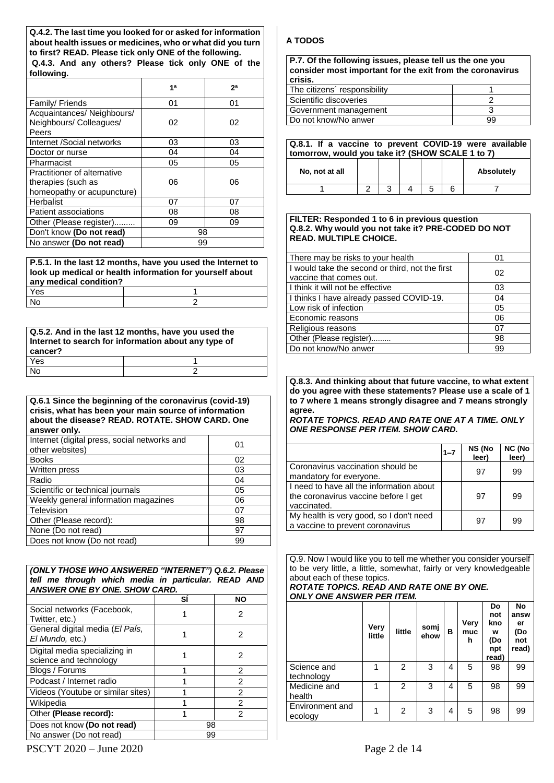**Q.4.2. The last time you looked for or asked for information about health issues or medicines, who or what did you turn to first? READ. Please tick only ONE of the following. Q.4.3. And any others? Please tick only ONE of the following.**

|                                                                                 | 1 <sup>a</sup> | 2а |
|---------------------------------------------------------------------------------|----------------|----|
| Family/ Friends                                                                 | 01             | 01 |
| Acquaintances/Neighbours/<br>Neighbours/ Colleagues/<br>Peers                   | 02             | 02 |
| Internet /Social networks                                                       | 03             | 03 |
| Doctor or nurse                                                                 | 04             | 04 |
| Pharmacist                                                                      | 05             | 05 |
| Practitioner of alternative<br>therapies (such as<br>homeopathy or acupuncture) | 06             | 06 |
| Herbalist                                                                       | 07             | 07 |
| Patient associations                                                            | 08             | 08 |
| Other (Please register).                                                        | 09             | 09 |
| Don't know (Do not read)                                                        | 98             |    |
| No answer (Do not read)                                                         | 99             |    |

**P.5.1. In the last 12 months, have you used the Internet to look up medical or health information for yourself about any medical condition?** Yes and the set of the set of the set of the set of the set of the set of the set of the set of the set of the No 2

| Q.5.2. And in the last 12 months, have you used the<br>Internet to search for information about any type of<br>cancer? |  |  |
|------------------------------------------------------------------------------------------------------------------------|--|--|
| Yes                                                                                                                    |  |  |
| No                                                                                                                     |  |  |

**Q.6.1 Since the beginning of the coronavirus (covid-19) crisis, what has been your main source of information about the disease? READ. ROTATE. SHOW CARD. One answer only.** Internet (digital press, social perturbits and ┱

| Internet (digital press, social networks and<br>other websites) | 01 |
|-----------------------------------------------------------------|----|
| <b>Books</b>                                                    | 02 |
| Written press                                                   | 03 |
| Radio                                                           | 04 |
| Scientific or technical journals                                | 05 |
| Weekly general information magazines                            | 06 |
| Television                                                      | 07 |
| Other (Please record):                                          | 98 |
| None (Do not read)                                              | 97 |
| Does not know (Do not read)                                     | 99 |

### *(ONLY THOSE WHO ANSWERED "INTERNET") Q.6.2. Please tell me through which media in particular. READ AND ANSWER ONE BY ONE. SHOW CARD.*

|                                                         | SI | <b>NO</b>      |
|---------------------------------------------------------|----|----------------|
| Social networks (Facebook,<br>Twitter, etc.)            |    | 2              |
| General digital media (El País,<br>El Mundo, etc.)      |    | 2              |
| Digital media specializing in<br>science and technology |    | 2              |
| Blogs / Forums                                          | 1  | 2              |
| Podcast / Internet radio                                |    | $\mathfrak{p}$ |
| Videos (Youtube or similar sites)                       |    | $\mathfrak{p}$ |
| Wikipedia                                               |    | 2              |
| Other (Please record):                                  |    | 2              |
| Does not know (Do not read)                             | 98 |                |
| No answer (Do not read)                                 | 99 |                |

## **A TODOS**

| P.7. Of the following issues, please tell us the one you<br>consider most important for the exit from the coronavirus<br>crisis. |  |
|----------------------------------------------------------------------------------------------------------------------------------|--|
| The citizens' responsibility                                                                                                     |  |

| The citizens responsibility |    |
|-----------------------------|----|
| Scientific discoveries      |    |
| Government management       |    |
| Do not know/No anwer        | 99 |
|                             |    |

| Q.8.1. If a vaccine to prevent COVID-19 were available<br>tomorrow, would you take it? (SHOW SCALE 1 to 7) |  |  |  |   |            |
|------------------------------------------------------------------------------------------------------------|--|--|--|---|------------|
| No. not at all                                                                                             |  |  |  |   | Absolutely |
|                                                                                                            |  |  |  | 5 |            |

#### **FILTER: Responded 1 to 6 in previous question Q.8.2. Why would you not take it? PRE-CODED DO NOT READ. MULTIPLE CHOICE.**

| There may be risks to your health                                          | 01 |
|----------------------------------------------------------------------------|----|
| I would take the second or third, not the first<br>vaccine that comes out. | 02 |
| I think it will not be effective                                           | 03 |
| I thinks I have already passed COVID-19.                                   | 04 |
| Low risk of infection                                                      | 05 |
| Economic reasons                                                           | 06 |
| Religious reasons                                                          | 07 |
| Other (Please register)                                                    | 98 |
| Do not know/No anwer                                                       | 99 |

**Q.8.3. And thinking about that future vaccine, to what extent do you agree with these statements? Please use a scale of 1 to 7 where 1 means strongly disagree and 7 means strongly agree.**

*ROTATE TOPICS. READ AND RATE ONE AT A TIME. ONLY ONE RESPONSE PER ITEM. SHOW CARD.*

|                                                                                                 | $1 - 7$ | NS (No<br>leer) | NC (No<br>leer) |
|-------------------------------------------------------------------------------------------------|---------|-----------------|-----------------|
| Coronavirus vaccination should be<br>mandatory for everyone.                                    |         | 97              | 99              |
| I need to have all the information about<br>the coronavirus vaccine before I get<br>vaccinated. |         | 97              | 99              |
| My health is very good, so I don't need<br>a vaccine to prevent coronavirus                     |         | 97              | 99              |

Q.9. Now I would like you to tell me whether you consider yourself to be very little, a little, somewhat, fairly or very knowledgeable about each of these topics.

#### *ROTATE TOPICS. READ AND RATE ONE BY ONE. ONLY ONE ANSWER PER ITEM.*

|                            | Very<br>little | little         | somj<br>ehow | в | Very<br>muc<br>h | Do<br>not<br>kno<br>w<br>(Do<br>npt<br>read) | <b>No</b><br>answ<br>er<br>(Do<br>not<br>read) |
|----------------------------|----------------|----------------|--------------|---|------------------|----------------------------------------------|------------------------------------------------|
| Science and<br>technology  |                | 2              | 3            | 4 | 5                | 98                                           | 99                                             |
| Medicine and<br>health     |                | $\overline{2}$ | 3            | 4 | 5                | 98                                           | 99                                             |
| Environment and<br>ecology | 1              | 2              | 3            | 4 | 5                | 98                                           | 99                                             |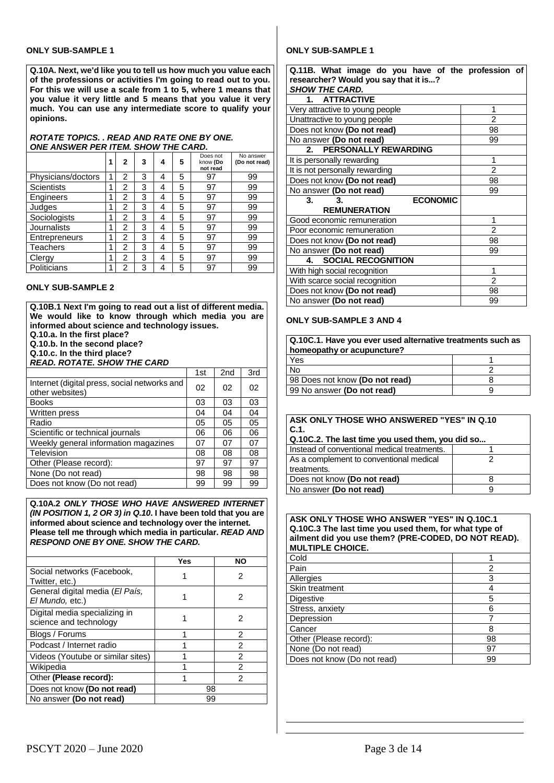### **ONLY SUB-SAMPLE 1**

**Q.10A. Next, we'd like you to tell us how much you value each of the professions or activities I'm going to read out to you. For this we will use a scale from 1 to 5, where 1 means that you value it very little and 5 means that you value it very much. You can use any intermediate score to qualify your opinions.**

#### *ROTATE TOPICS. . READ AND RATE ONE BY ONE. ONE ANSWER PER ITEM. SHOW THE CARD.*

|                      | 1 | $\mathbf{2}$   | 3 | 4 | 5 | Does not<br>know (Do<br>not read | No answer<br>(Do not read) |
|----------------------|---|----------------|---|---|---|----------------------------------|----------------------------|
| Physicians/doctors   | 1 | 2              | 3 | 4 | 5 | 97                               | 99                         |
| Scientists           | 1 | 2              | 3 | 4 | 5 | 97                               | 99                         |
| Engineers            | 1 | 2              | 3 | 4 | 5 | 97                               | 99                         |
| Judges               | 1 | 2              | 3 | 4 | 5 | 97                               | 99                         |
| Sociologists         | 1 | 2              | 3 | 4 | 5 | 97                               | 99                         |
| Journalists          | 1 | 2              | 3 | 4 | 5 | 97                               | 99                         |
| <b>Entrepreneurs</b> | 1 | $\overline{2}$ | 3 | 4 | 5 | 97                               | 99                         |
| Teachers             | 1 | 2              | 3 | 4 | 5 | 97                               | 99                         |
| Clergy               | 1 | 2              | 3 | 4 | 5 | 97                               | 99                         |
| Politicians          | 1 | 2              | 3 | 4 | 5 | 97                               | 99                         |

### **ONLY SUB-SAMPLE 2**

**Q.10B.1 Next I'm going to read out a list of different media. We would like to know through which media you are informed about science and technology issues.**

**Q.10.a. In the first place?**

**Q.10.b. In the second place?**

**Q.10.c. In the third place?**

*READ. ROTATE. SHOW THE CARD*

|                                                                 | 1st | 2nd | 3rd |
|-----------------------------------------------------------------|-----|-----|-----|
| Internet (digital press, social networks and<br>other websites) | 02  | 02  | 02  |
| <b>Books</b>                                                    | 03  | 03  | 03  |
| Written press                                                   | 04  | 04  | 04  |
| Radio                                                           | 05  | 05  | 05  |
| Scientific or technical journals                                | 06  | 06  | 06  |
| Weekly general information magazines                            | 07  | 07  | 07  |
| Television                                                      | 08  | 08  | 08  |
| Other (Please record):                                          | 97  | 97  | 97  |
| None (Do not read)                                              | 98  | 98  | 98  |
| Does not know (Do not read)                                     | 99  | 99  | 99  |

#### **Q.10A.2** *ONLY THOSE WHO HAVE ANSWERED INTERNET (IN POSITION 1, 2 OR 3) in Q.10***. I have been told that you are informed about science and technology over the internet. Please tell me through which media in particular.** *READ AND RESPOND ONE BY ONE. SHOW THE CARD.*

|                                                         | Yes | <b>NO</b> |  |
|---------------------------------------------------------|-----|-----------|--|
| Social networks (Facebook,<br>Twitter, etc.)            |     | 2         |  |
| General digital media (El País,<br>El Mundo, etc.)      |     |           |  |
| Digital media specializing in<br>science and technology |     | 2         |  |
| Blogs / Forums                                          |     | 2         |  |
| Podcast / Internet radio                                |     | 2         |  |
| Videos (Youtube or similar sites)                       |     | 2         |  |
| Wikipedia                                               |     | 2         |  |
| Other (Please record):                                  |     | 2         |  |
| Does not know (Do not read)                             | 98  |           |  |
| No answer (Do not read)                                 | 99  |           |  |

### **ONLY SUB-SAMPLE 1**

| Q.11B. What image do you have of the profession of |                |
|----------------------------------------------------|----------------|
| researcher? Would you say that it is?              |                |
| <b>SHOW THE CARD.</b>                              |                |
| <b>ATTRACTIVE</b><br>1.                            |                |
| Very attractive to young people                    | 1              |
| Unattractive to young people                       | $\overline{2}$ |
| Does not know (Do not read)                        | 98             |
| No answer (Do not read)                            | 99             |
| PERSONALLY REWARDING<br>2.                         |                |
| It is personally rewarding                         | 1              |
| It is not personally rewarding                     | 2              |
| Does not know (Do not read)                        | 98             |
| No answer (Do not read)                            | 99             |
| <b>ECONOMIC</b><br>3.<br>3.                        |                |
| <b>REMUNERATION</b>                                |                |
| Good economic remuneration                         | 1              |
| Poor economic remuneration                         | $\overline{2}$ |
| Does not know (Do not read)                        | 98             |
| No answer (Do not read)                            | 99             |
| <b>SOCIAL RECOGNITION</b><br>4.                    |                |
| With high social recognition                       | 1              |
| With scarce social recognition                     | $\overline{c}$ |
| Does not know (Do not read)                        | 98             |
| No answer (Do not read)                            | 99             |

#### **ONLY SUB-SAMPLE 3 AND 4**

| Q.10C.1. Have you ever used alternative treatments such as<br>homeopathy or acupuncture? |  |  |  |
|------------------------------------------------------------------------------------------|--|--|--|
| Yes                                                                                      |  |  |  |
| No                                                                                       |  |  |  |
| 98 Does not know (Do not read)                                                           |  |  |  |
| 99 No answer (Do not read)                                                               |  |  |  |
|                                                                                          |  |  |  |

| ASK ONLY THOSE WHO ANSWERED "YES" IN Q.10<br>I C.1.<br>  Q.10C.2. The last time you used them, you did so |  |
|-----------------------------------------------------------------------------------------------------------|--|
| I Instead of conventional medical treatments.                                                             |  |
| As a complement to conventional medical                                                                   |  |
| I treatments.                                                                                             |  |
| Does not know (Do not read)                                                                               |  |
| No answer (Do not read)                                                                                   |  |

#### **ASK ONLY THOSE WHO ANSWER "YES" IN Q.10C.1 Q.10C.3 The last time you used them, for what type of ailment did you use them? (PRE-CODED, DO NOT READ). MULTIPLE CHOICE.**

| Cold                        |    |
|-----------------------------|----|
| l Pain                      | 2  |
| Allergies                   |    |
| Skin treatment              |    |
| Digestive                   | 5  |
| Stress, anxiety             | 6  |
| Depression                  |    |
| Cancer                      | 8  |
| Other (Please record):      | 98 |
| None (Do not read)          | 97 |
| Does not know (Do not read) | 99 |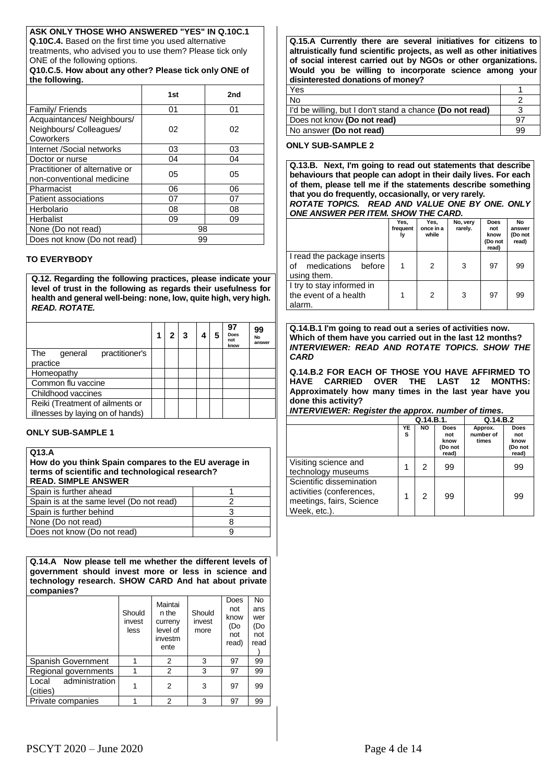### **ASK ONLY THOSE WHO ANSWERED "YES" IN Q.10C.1**

**Q.10C.4.** Based on the first time you used alternative treatments, who advised you to use them? Please tick only ONE of the following options.

**Q10.C.5. How about any other? Please tick only ONE of the following.**

|                                                                    | 1st | 2nd |
|--------------------------------------------------------------------|-----|-----|
| Family/ Friends                                                    | 01  | 01  |
| Acquaintances/ Neighbours/<br>Neighbours/ Colleagues/<br>Coworkers | 02  | 02  |
| Internet /Social networks                                          | 03  | 03  |
| Doctor or nurse                                                    | 04  | 04  |
| Practitioner of alternative or<br>non-conventional medicine        | 05  | 05  |
| Pharmacist                                                         | 06  | 06  |
| Patient associations                                               | 07  | 07  |
| Herbolario                                                         | 08  | 08  |
| Herbalist                                                          | 09  | 09  |
| None (Do not read)                                                 | 98  |     |
| Does not know (Do not read)                                        | 99  |     |

### **TO EVERYBODY**

**Q.12. Regarding the following practices, please indicate your level of trust in the following as regards their usefulness for health and general well-being: none, low, quite high, very high.**  *READ. ROTATE.*

|                                                                     |  |  | 97<br><b>Does</b><br>not<br>know | 99<br>No<br>answer |
|---------------------------------------------------------------------|--|--|----------------------------------|--------------------|
| practitioner's<br>The<br>general                                    |  |  |                                  |                    |
| practice                                                            |  |  |                                  |                    |
| Homeopathy                                                          |  |  |                                  |                    |
| Common flu vaccine                                                  |  |  |                                  |                    |
| Childhood vaccines                                                  |  |  |                                  |                    |
| Reiki (Treatment of ailments or<br>illnesses by laying on of hands) |  |  |                                  |                    |

### **ONLY SUB-SAMPLE 1**

**Q13.A** 

| Q13.A<br>How do you think Spain compares to the EU average in<br>terms of scientific and technological research?<br><b>READ. SIMPLE ANSWER</b> |   |  |  |  |
|------------------------------------------------------------------------------------------------------------------------------------------------|---|--|--|--|
| Spain is further ahead                                                                                                                         |   |  |  |  |
| Spain is at the same level (Do not read)                                                                                                       |   |  |  |  |
| Spain is further behind                                                                                                                        | 3 |  |  |  |
| None (Do not read)                                                                                                                             | 8 |  |  |  |
| Does not know (Do not read)                                                                                                                    |   |  |  |  |
|                                                                                                                                                |   |  |  |  |

**Q.14.A Now please tell me whether the different levels of government should invest more or less in science and technology research. SHOW CARD And hat about private companies?**

|                                     | Should<br>invest<br>less | Maintai<br>n the<br>curreny<br>level of<br>investm<br>ente | Should<br>invest<br>more | Does<br>not<br>know<br>(Do<br>not<br>read) | No<br>ans<br>wer<br>(Do<br>not<br>read |
|-------------------------------------|--------------------------|------------------------------------------------------------|--------------------------|--------------------------------------------|----------------------------------------|
| Spanish Government                  |                          | 2                                                          | 3                        | 97                                         | 99                                     |
| Regional governments                |                          | 2                                                          | 3                        | 97                                         | 99                                     |
| administration<br>Local<br>(cities) |                          | 2                                                          | 3                        | 97                                         | 99                                     |
| Private companies                   |                          | 2                                                          | 3                        | 97                                         | 99                                     |

**Q.15.A Currently there are several initiatives for citizens to altruistically fund scientific projects, as well as other initiatives of social interest carried out by NGOs or other organizations. Would you be willing to incorporate science among your disinterested donations of money?**

| Yes                                                      |    |
|----------------------------------------------------------|----|
| No                                                       |    |
| I'd be willing, but I don't stand a chance (Do not read) |    |
| Does not know (Do not read)                              | 97 |
| No answer (Do not read)                                  | 99 |
|                                                          |    |

### **ONLY SUB-SAMPLE 2**

**Q.13.B. Next, I'm going to read out statements that describe behaviours that people can adopt in their daily lives. For each of them, please tell me if the statements describe something that you do frequently, occasionally, or very rarely.**

#### *ROTATE TOPICS. READ AND VALUE ONE BY ONE. ONLY ONE ANSWER PER ITEM. SHOW THE CARD.*

|                                                                       | Yes,<br>frequent<br>l۷ | Yes,<br>once in a<br>while | No, very<br>rarely. | <b>Does</b><br>not<br>know<br>(Do not<br>read) | No<br>answer<br>(Do not<br>read) |
|-----------------------------------------------------------------------|------------------------|----------------------------|---------------------|------------------------------------------------|----------------------------------|
| I read the package inserts<br>medications before<br>οf<br>using them. |                        | 2                          | 3                   | 97                                             | 99                               |
| I try to stay informed in<br>the event of a health<br>alarm.          |                        | 2                          | 3                   | 97                                             | 99                               |

**Q.14.B.1 I'm going to read out a series of activities now. Which of them have you carried out in the last 12 months?** *INTERVIEWER: READ AND ROTATE TOPICS. SHOW THE CARD*

**Q.14.B.2 FOR EACH OF THOSE YOU HAVE AFFIRMED TO HAVE CARRIED OVER THE LAST 12 MONTHS: Approximately how many times in the last year have you done this activity?**

### *INTERVIEWER: Register the approx. number of times.*

|                                                                                                  | Q.14.B.1. |           |                                                | Q.14.B.2                      |                                                |
|--------------------------------------------------------------------------------------------------|-----------|-----------|------------------------------------------------|-------------------------------|------------------------------------------------|
|                                                                                                  | YE<br>s   | <b>NO</b> | <b>Does</b><br>not<br>know<br>(Do not<br>read) | Approx.<br>number of<br>times | <b>Does</b><br>not<br>know<br>(Do not<br>read) |
| Visiting science and<br>technology museums                                                       |           | 2         | 99                                             |                               | 99                                             |
| Scientific dissemination<br>activities (conferences,<br>meetings, fairs, Science<br>Week, etc.). |           | 2         | 99                                             |                               | 99                                             |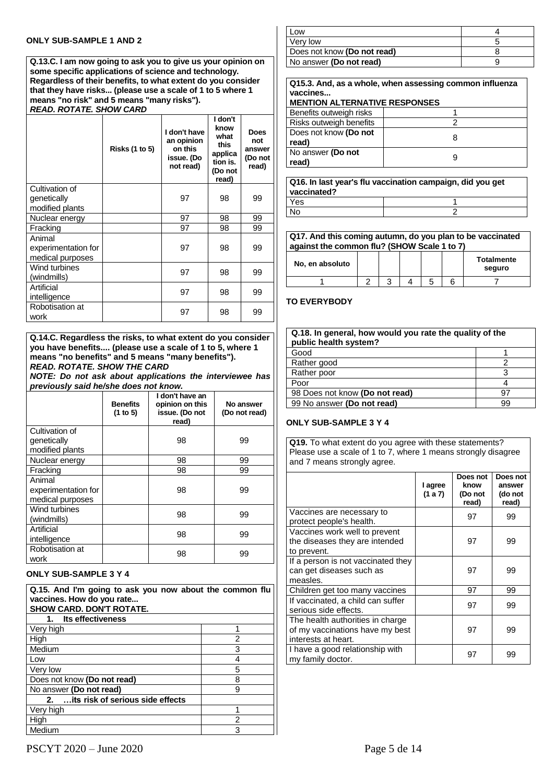#### **ONLY SUB-SAMPLE 1 AND 2**

**Q.13.C. I am now going to ask you to give us your opinion on some specific applications of science and technology. Regardless of their benefits, to what extent do you consider that they have risks... (please use a scale of 1 to 5 where 1 means "no risk" and 5 means "many risks").**

# *READ. ROTATE. SHOW CARD*

|                                                   | <b>Risks (1 to 5)</b> | I don't have<br>an opinion<br>on this<br>issue. (Do<br>not read) | I don't<br>know<br>what<br>this<br>applica<br>tion is.<br>(Do not<br>read) | <b>Does</b><br>not<br>answer<br>(Do not<br>read) |
|---------------------------------------------------|-----------------------|------------------------------------------------------------------|----------------------------------------------------------------------------|--------------------------------------------------|
| Cultivation of<br>genetically<br>modified plants  |                       | 97                                                               | 98                                                                         | 99                                               |
| Nuclear energy                                    |                       | 97                                                               | 98                                                                         | 99                                               |
| Fracking                                          |                       | 97                                                               | 98                                                                         | 99                                               |
| Animal<br>experimentation for<br>medical purposes |                       | 97                                                               | 98                                                                         | 99                                               |
| Wind turbines<br>(windmills)                      |                       | 97                                                               | 98                                                                         | 99                                               |
| Artificial<br>intelligence                        |                       | 97                                                               | 98                                                                         | 99                                               |
| Robotisation at<br>work                           |                       | 97                                                               | 98                                                                         | 99                                               |

**Q.14.C. Regardless the risks, to what extent do you consider you have benefits.... (please use a scale of 1 to 5, where 1 means "no benefits" and 5 means "many benefits").** *READ. ROTATE. SHOW THE CARD*

*NOTE: Do not ask about applications the interviewee has previously said he/she does not know.*

|                                                   | <b>Benefits</b><br>(1 to 5) | I don't have an<br>opinion on this<br>issue. (Do not<br>read) | No answer<br>(Do not read) |
|---------------------------------------------------|-----------------------------|---------------------------------------------------------------|----------------------------|
| Cultivation of<br>genetically<br>modified plants  |                             | 98                                                            | 99                         |
| Nuclear energy                                    |                             | 98                                                            | 99                         |
| Fracking                                          |                             | 98                                                            | 99                         |
| Animal<br>experimentation for<br>medical purposes |                             | 98                                                            | 99                         |
| Wind turbines<br>(windmills)                      |                             | 98                                                            | 99                         |
| Artificial<br>intelligence                        |                             | 98                                                            | 99                         |
| Robotisation at<br>work                           |                             | 98                                                            | 99                         |

### **ONLY SUB-SAMPLE 3 Y 4**

**Q.15. And I'm going to ask you now about the common flu vaccines. How do you rate... SHOW CARD. DON'T ROTATE. 1. Its effectiveness** Very high 1 and 1 and 1 and 1 and 1 and 1 and 1 and 1 and 1 and 1 and 1 and 1 and 1 and 1 and 1 and 1 and 1 and 1 and 1 and 1 and 1 and 1 and 1 and 1 and 1 and 1 and 1 and 1 and 1 and 1 and 1 and 1 and 1 and 1 and 1 and 1 High 2

| Medium                                             |  |
|----------------------------------------------------|--|
| Low                                                |  |
| Very low                                           |  |
| Does not know (Do not read)                        |  |
| No answer (Do not read)                            |  |
| its risk of serious side effects<br>2 <sup>1</sup> |  |
| Very high                                          |  |
| High                                               |  |
| Medium                                             |  |

| _OW                         |  |
|-----------------------------|--|
| Verv low                    |  |
| Does not know (Do not read) |  |
| No answer (Do not read)     |  |

**Q15.3. And, as a whole, when assessing common influenza vaccines...**

| <b>MENTION ALTERNATIVE RESPONSES</b> |   |
|--------------------------------------|---|
| Benefits outweigh risks              |   |
| Risks outweigh benefits              |   |
| Does not know (Do not                | 8 |
| read)                                |   |
| No answer (Do not                    | 9 |
| read)                                |   |

**Q16. In last year's flu vaccination campaign, did you get vaccinated?**<br>Yes <u>Yes and the set of the set of the set of the set of the set of the set of the set of the set of the set of the set of the set of the set of the set of the set of the set of the set of the set of the set of the set of the </u> No 2

| Q17. And this coming autumn, do you plan to be vaccinated<br>against the common flu? (SHOW Scale 1 to 7) |  |   |                             |
|----------------------------------------------------------------------------------------------------------|--|---|-----------------------------|
| No, en absoluto                                                                                          |  |   | <b>Totalmente</b><br>seguro |
|                                                                                                          |  | 5 |                             |

### **TO EVERYBODY**

| Q.18. In general, how would you rate the quality of the<br>public health system? |    |
|----------------------------------------------------------------------------------|----|
| Good                                                                             |    |
| Rather good                                                                      |    |
| Rather poor                                                                      | ว  |
| Poor                                                                             |    |
| 98 Does not know (Do not read)                                                   | 97 |
| 99 No answer (Do not read)                                                       | 99 |

### **ONLY SUB-SAMPLE 3 Y 4**

**Q19.** To what extent do you agree with these statements? Please use a scale of 1 to 7, where 1 means strongly disagree and 7 means strongly agree.

|                                                                                            | I agree<br>(1 a 7) | Does not<br>know<br>(Do not<br>read) | Does not<br>answer<br>(do not<br>read) |
|--------------------------------------------------------------------------------------------|--------------------|--------------------------------------|----------------------------------------|
| Vaccines are necessary to<br>protect people's health.                                      |                    | 97                                   | 99                                     |
| Vaccines work well to prevent<br>the diseases they are intended<br>to prevent.             |                    | 97                                   | 99                                     |
| If a person is not vaccinated they<br>can get diseases such as<br>measles.                 |                    | 97                                   | 99                                     |
| Children get too many vaccines                                                             |                    | 97                                   | 99                                     |
| If vaccinated, a child can suffer<br>serious side effects.                                 |                    | 97                                   | 99                                     |
| The health authorities in charge<br>of my vaccinations have my best<br>interests at heart. |                    | 97                                   | 99                                     |
| I have a good relationship with<br>my family doctor.                                       |                    | 97                                   | 99                                     |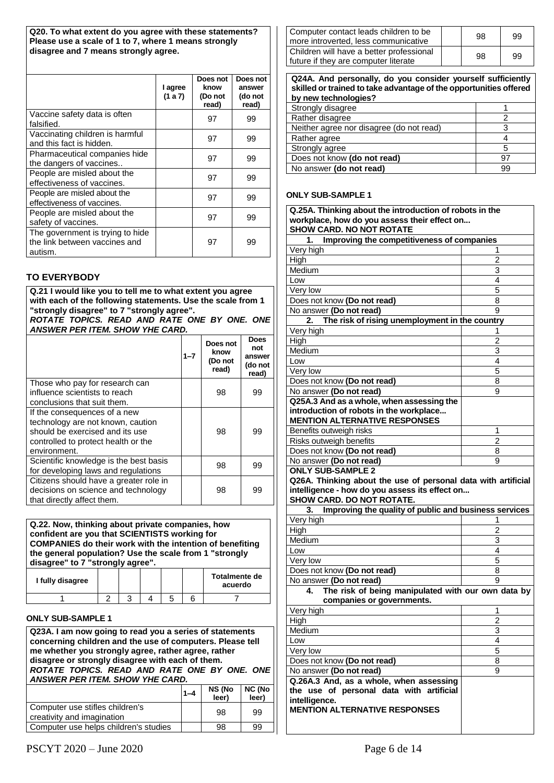**Q20. To what extent do you agree with these statements? Please use a scale of 1 to 7, where 1 means strongly disagree and 7 means strongly agree.**

|                                                                              | I agree<br>(1 a 7) | Does not<br>know<br>(Do not<br>read) | Does not<br>answer<br>(do not<br>read) |
|------------------------------------------------------------------------------|--------------------|--------------------------------------|----------------------------------------|
| Vaccine safety data is often<br>falsified.                                   |                    | 97                                   | 99                                     |
| Vaccinating children is harmful<br>and this fact is hidden.                  |                    | 97                                   | 99                                     |
| Pharmaceutical companies hide<br>the dangers of vaccines                     |                    | 97                                   | 99                                     |
| People are misled about the<br>effectiveness of vaccines.                    |                    | 97                                   | 99                                     |
| People are misled about the<br>effectiveness of vaccines.                    |                    | 97                                   | 99                                     |
| People are misled about the<br>safety of vaccines.                           |                    | 97                                   | 99                                     |
| The government is trying to hide<br>the link between vaccines and<br>autism. |                    | 97                                   | 99                                     |

### **TO EVERYBODY**

### **Q.21 I would like you to tell me to what extent you agree with each of the following statements. Use the scale from 1 "strongly disagree" to 7 "strongly agree".**

*ROTATE TOPICS. READ AND RATE ONE BY ONE. ONE ANSWER PER ITEM. SHOW YHE CARD.*

|                                                                                                                                                             | $1 - 7$ | Does not<br>know<br>(Do not<br>read) | Does<br>not<br>answer<br>(do not<br>read) |
|-------------------------------------------------------------------------------------------------------------------------------------------------------------|---------|--------------------------------------|-------------------------------------------|
| Those who pay for research can<br>influence scientists to reach<br>conclusions that suit them.                                                              |         | 98                                   | 99                                        |
| If the consequences of a new<br>technology are not known, caution<br>should be exercised and its use<br>controlled to protect health or the<br>environment. |         | 98                                   | 99                                        |
| Scientific knowledge is the best basis<br>for developing laws and regulations                                                                               |         | 98                                   | 99                                        |
| Citizens should have a greater role in<br>decisions on science and technology<br>that directly affect them.                                                 |         | 98                                   | 99                                        |

### **Q.22. Now, thinking about private companies, how confident are you that SCIENTISTS working for COMPANIES do their work with the intention of benefiting the general population? Use the scale from 1 "strongly disagree" to 7 "strongly agree".**

| I fully disagree |  |  | Totalmente de<br>acuerdo |
|------------------|--|--|--------------------------|
|                  |  |  |                          |

#### **ONLY SUB-SAMPLE 1**

**Q23A. I am now going to read you a series of statements concerning children and the use of computers. Please tell me whether you strongly agree, rather agree, rather disagree or strongly disagree with each of them.** *ROTATE TOPICS. READ AND RATE ONE BY ONE. ONE ANSWER PER ITEM. SHOW YHE CARD.*

|                                                               | $1 - 4$ | NS (No<br>leer) | <b>NC (No</b><br>leer) |
|---------------------------------------------------------------|---------|-----------------|------------------------|
| Computer use stifles children's<br>creativity and imagination |         | 98              | 99                     |
| Computer use helps children's studies                         |         | 98              | 99                     |

| Computer contact leads children to be<br>more introverted, less communicative    | 98 | 99 |
|----------------------------------------------------------------------------------|----|----|
| Children will have a better professional<br>future if they are computer literate | 98 | 99 |

| Q24A. And personally, do you consider yourself sufficiently<br>skilled or trained to take advantage of the opportunities offered<br>by new technologies? |    |
|----------------------------------------------------------------------------------------------------------------------------------------------------------|----|
| Strongly disagree                                                                                                                                        |    |
| Rather disagree                                                                                                                                          | 2  |
| Neither agree nor disagree (do not read)                                                                                                                 | з  |
| Rather agree                                                                                                                                             |    |
| Strongly agree                                                                                                                                           | 5  |
| Does not know (do not read)                                                                                                                              | 97 |
| No answer (do not read)                                                                                                                                  | 99 |

### **ONLY SUB-SAMPLE 1**

| Q.25A. Thinking about the introduction of robots in the                                                         |                |  |
|-----------------------------------------------------------------------------------------------------------------|----------------|--|
| workplace, how do you assess their effect on                                                                    |                |  |
| <b>SHOW CARD. NO NOT ROTATE</b>                                                                                 |                |  |
| Improving the competitiveness of companies<br>1.                                                                |                |  |
| Very high                                                                                                       | 1              |  |
| High                                                                                                            | 2              |  |
| Medium                                                                                                          | 3              |  |
| Low                                                                                                             | 4              |  |
| Very low                                                                                                        | 5              |  |
| Does not know (Do not read)                                                                                     | 8              |  |
| No answer (Do not read)                                                                                         | 9              |  |
| The risk of rising unemployment in the country<br>2.                                                            |                |  |
| Very high                                                                                                       | 1              |  |
| High                                                                                                            | $\overline{c}$ |  |
| Medium                                                                                                          | 3              |  |
| Low                                                                                                             | 4              |  |
| Very low                                                                                                        | 5              |  |
| Does not know (Do not read)                                                                                     | 8              |  |
| No answer (Do not read)                                                                                         | 9              |  |
| Q25A.3 And as a whole, when assessing the                                                                       |                |  |
| introduction of robots in the workplace                                                                         |                |  |
| <b>MENTION ALTERNATIVE RESPONSES</b>                                                                            |                |  |
| Benefits outweigh risks                                                                                         | 1              |  |
| Risks outweigh benefits                                                                                         | 2              |  |
| Does not know (Do not read)                                                                                     | 8              |  |
| No answer (Do not read)                                                                                         | 9              |  |
| <b>ONLY SUB-SAMPLE 2</b>                                                                                        |                |  |
|                                                                                                                 |                |  |
|                                                                                                                 |                |  |
| Q26A. Thinking about the use of personal data with artificial<br>intelligence - how do you assess its effect on |                |  |
| <b>SHOW CARD. DO NOT ROTATE.</b>                                                                                |                |  |
| Improving the quality of public and business services<br>3.                                                     |                |  |
| Very high                                                                                                       | 1              |  |
| High                                                                                                            | $\overline{2}$ |  |
| Medium                                                                                                          | 3              |  |
| Low                                                                                                             | 4              |  |
| Very low                                                                                                        | 5              |  |
|                                                                                                                 | 8              |  |
| Does not know (Do not read)                                                                                     | 9              |  |
| No answer (Do not read)<br>4.                                                                                   |                |  |
| The risk of being manipulated with our own data by                                                              |                |  |
| companies or governments.<br>Very high                                                                          | 1              |  |
|                                                                                                                 | $\overline{2}$ |  |
| High                                                                                                            | 3              |  |
| Medium<br>Low                                                                                                   | 4              |  |
|                                                                                                                 |                |  |
| Very low                                                                                                        | 5<br>8         |  |
| Does not know (Do not read)                                                                                     | 9              |  |
| No answer (Do not read)                                                                                         |                |  |
| Q.26A.3 And, as a whole, when assessing                                                                         |                |  |
| the use of personal data with artificial                                                                        |                |  |
| intelligence.<br><b>MENTION ALTERNATIVE RESPONSES</b>                                                           |                |  |
|                                                                                                                 |                |  |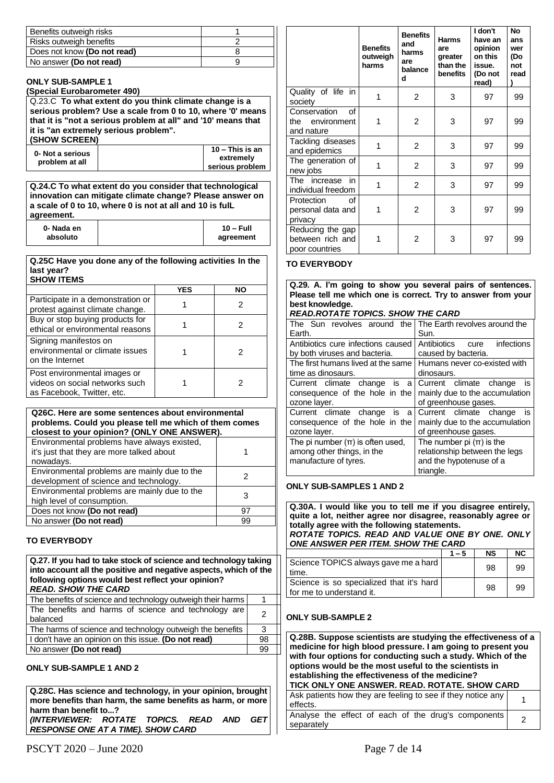| Benefits outweigh risks     |  |
|-----------------------------|--|
| Risks outweigh benefits     |  |
| Does not know (Do not read) |  |
| No answer (Do not read)     |  |

#### **ONLY SUB-SAMPLE 1**

**(Special Eurobarometer 490)**

Q.23.C **To what extent do you think climate change is a serious problem? Use a scale from 0 to 10, where '0' means that it is "not a serious problem at all" and '10' means that it is "an extremely serious problem".**

### **(SHOW SCREEN) 0- Not a serious**

**problem at all**

| $10 -$ This is an |
|-------------------|
| extremely         |
| serious problem   |
|                   |

**Q.24.C To what extent do you consider that technological innovation can mitigate climate change? Please answer on a scale of 0 to 10, where 0 is not at all and 10 is fulL agreement.**

| 0-Nada en | $10 - Full$ |
|-----------|-------------|
| absoluto  | agreement   |

#### **Q.25C Have you done any of the following activities In the last year? SHOW ITEMS**

|                                                                                              | <b>YES</b> | <b>NO</b> |
|----------------------------------------------------------------------------------------------|------------|-----------|
| Participate in a demonstration or<br>protest against climate change.                         |            | 2         |
| Buy or stop buying products for<br>ethical or environmental reasons                          |            |           |
| Signing manifestos on<br>environmental or climate issues<br>on the Internet                  |            |           |
| Post environmental images or<br>videos on social networks such<br>as Facebook, Twitter, etc. |            |           |

#### **Q26C. Here are some sentences about environmental problems. Could you please tell me which of them comes closest to your opinion? (ONLY ONE ANSWER).** Environmental problems have always existed, it's just that they are more talked about nowadays. 1 Environmental problems are mainly due to the Environmental problems are mainly due to the<br>development of science and technology.

| Environmental problems are mainly due to the<br>high level of consumption. |    |
|----------------------------------------------------------------------------|----|
| Does not know (Do not read)                                                | 97 |
| No answer (Do not read)                                                    | 99 |
|                                                                            |    |

### **TO EVERYBODY**

### **Q.27. If you had to take stock of science and technology taking into account all the positive and negative aspects, which of the following options would best reflect your opinion?** *READ. SHOW THE CARD* The benefits of science and technology outweigh their harms | 1 The benefits and harms of science and technology are balanced <sup>2</sup> The harms of science and technology outweigh the benefits 3

| The namis of science and technology outweight the benefits |    |
|------------------------------------------------------------|----|
| I don't have an opinion on this issue. (Do not read)       | 98 |
| No answer (Do not read)                                    | 99 |
|                                                            |    |

### **ONLY SUB-SAMPLE 1 AND 2**

**Q.28C. Has science and technology, in your opinion, brought more benefits than harm, the same benefits as harm, or more harm than benefit to...?** *(INTERVIEWER: ROTATE TOPICS. READ AND GET RESPONSE ONE AT A TIME). SHOW CARD*

|                                                        | <b>Benefits</b><br>outweigh<br>harms | <b>Benefits</b><br>and<br>harms<br>are<br>balance<br>d | <b>Harms</b><br>are<br>greater<br>than the<br>benefits | I don't<br>have an<br>opinion<br>on this<br>issue.<br>(Do not<br>read) | Nο<br>ans<br>wer<br>(Do<br>not<br>read |
|--------------------------------------------------------|--------------------------------------|--------------------------------------------------------|--------------------------------------------------------|------------------------------------------------------------------------|----------------------------------------|
| Quality of life in<br>society                          | 1                                    | $\overline{2}$                                         | 3                                                      | 97                                                                     | 99                                     |
| Conservation<br>οf<br>the environment<br>and nature    | 1                                    | 2                                                      | 3                                                      | 97                                                                     | 99                                     |
| Tackling diseases<br>and epidemics                     | 1                                    | 2                                                      | 3                                                      | 97                                                                     | 99                                     |
| The generation of<br>new jobs                          | 1                                    | $\overline{2}$                                         | 3                                                      | 97                                                                     | 99                                     |
| The increase<br>in<br>individual freedom               | 1                                    | $\overline{2}$                                         | 3                                                      | 97                                                                     | 99                                     |
| Protection<br>οf<br>personal data and<br>privacy       | 1                                    | $\overline{2}$                                         | 3                                                      | 97                                                                     | 99                                     |
| Reducing the gap<br>between rich and<br>poor countries |                                      | 2                                                      | 3                                                      | 97                                                                     | 99                                     |

### **TO EVERYBODY**

**Q.29. A. I'm going to show you several pairs of sentences. Please tell me which one is correct. Try to answer from your best knowledge.**

### *READ.ROTATE TOPICS. SHOW THE CARD*

| The Sun revolves around the          | The Earth revolves around the  |
|--------------------------------------|--------------------------------|
| Earth.                               | Sun.                           |
| Antibiotics cure infections caused   | Antibiotics cure<br>infections |
| by both viruses and bacteria.        | caused by bacteria.            |
| The first humans lived at the same   | Humans never co-existed with   |
| time as dinosaurs.                   | dinosaurs.                     |
| Current climate change is<br>a       | Current climate change<br>is   |
| consequence of the hole in the       | mainly due to the accumulation |
| ozone layer.                         | of greenhouse gases.           |
| Current climate change<br>is<br>a    | Current climate change<br>is   |
| consequence of the hole in the       | mainly due to the accumulation |
| ozone layer.                         | of greenhouse gases.           |
| The pi number $(\pi)$ is often used, | The number pi $(\pi)$ is the   |
| among other things, in the           | relationship between the legs  |
| manufacture of tyres.                | and the hypotenuse of a        |
|                                      | triangle.                      |

### **ONLY SUB-SAMPLES 1 AND 2**

**Q.30A. I would like you to tell me if you disagree entirely, quite a lot, neither agree nor disagree, reasonably agree or totally agree with the following statements.** *ROTATE TOPICS. READ AND VALUE ONE BY ONE. ONLY ONE ANSWER PER ITEM. SHOW THE CARD*

|                                                                        | $1 - 5$ | <b>NS</b> | <b>NC</b> |
|------------------------------------------------------------------------|---------|-----------|-----------|
| Science TOPICS always gave me a hard<br>time.                          |         | 98        | 99        |
| Science is so specialized that it's hard<br>I for me to understand it. |         | 98        | 99        |

### **ONLY SUB-SAMPLE 2**

| Q.28B. Suppose scientists are studying the effectiveness of a<br>medicine for high blood pressure. I am going to present you<br>with four options for conducting such a study. Which of the<br>options would be the most useful to the scientists in<br>establishing the effectiveness of the medicine?<br>TICK ONLY ONE ANSWER. READ. ROTATE. SHOW CARD |  |  |
|----------------------------------------------------------------------------------------------------------------------------------------------------------------------------------------------------------------------------------------------------------------------------------------------------------------------------------------------------------|--|--|
| Ask patients how they are feeling to see if they notice any<br>effects.                                                                                                                                                                                                                                                                                  |  |  |
| Analyse the effect of each of the drug's components<br>separately                                                                                                                                                                                                                                                                                        |  |  |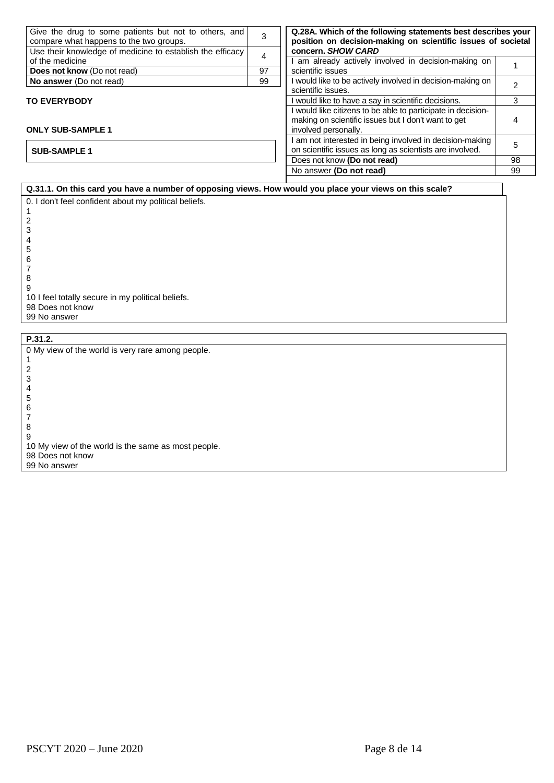| Give the drug to some patients but not to others, and<br>compare what happens to the two groups. | 3  | Q.28A. Which of the following statements best describes your<br>position on decision-making on scientific issues of societal |    |
|--------------------------------------------------------------------------------------------------|----|------------------------------------------------------------------------------------------------------------------------------|----|
| Use their knowledge of medicine to establish the efficacy                                        | 4  | concern. SHOW CARD                                                                                                           |    |
| of the medicine                                                                                  |    | am already actively involved in decision-making on                                                                           |    |
| Does not know (Do not read)                                                                      | 97 | scientific issues                                                                                                            |    |
| No answer (Do not read)                                                                          | 99 | would like to be actively involved in decision-making on                                                                     |    |
|                                                                                                  |    | scientific issues.                                                                                                           |    |
| <b>TO EVERYBODY</b>                                                                              |    | would like to have a say in scientific decisions.                                                                            | 3  |
|                                                                                                  |    | would like citizens to be able to participate in decision-                                                                   |    |
|                                                                                                  |    | making on scientific issues but I don't want to get                                                                          |    |
| <b>ONLY SUB-SAMPLE 1</b>                                                                         |    | involved personally.                                                                                                         |    |
|                                                                                                  |    | am not interested in being involved in decision-making                                                                       | 5  |
| <b>SUB-SAMPLE 1</b>                                                                              |    | on scientific issues as long as scientists are involved.                                                                     |    |
|                                                                                                  |    | Does not know (Do not read)                                                                                                  | 98 |
|                                                                                                  |    | No answer (Do not read)                                                                                                      | 99 |
|                                                                                                  |    |                                                                                                                              |    |

**Q.31.1. On this card you have a number of opposing views. How would you place your views on this scale?** 0. I don't feel confident about my political beliefs.

8 9 10 I feel totally secure in my political beliefs. 98 Does not know 99 No answer

**P.31.2.** 0 My view of the world is very rare among people. 1 2 3 4 5 6 7 8 9 10 My view of the world is the same as most people. 98 Does not know 99 No answer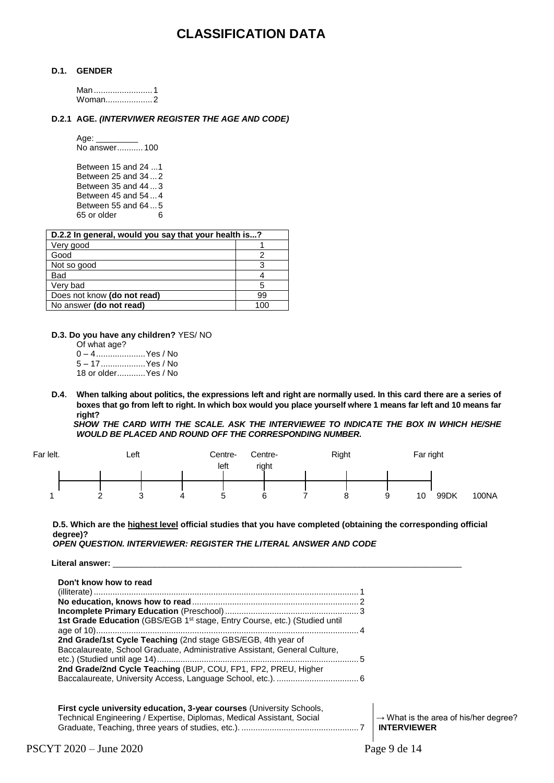## **CLASSIFICATION DATA**

#### **D.1. GENDER**

Man.........................1 Woman....................2

### **D.2.1 AGE.** *(INTERVIWER REGISTER THE AGE AND CODE)*

Age:

No answer........... 100

Between 15 and 24 ...1 Between 25 and 34 ... 2 Between 35 and 44 ... 3 Between 45 and 54 ... 4 Between 55 and 64...5<br>65 or older 65 or older

| D.2.2 In general, would you say that your health is? |     |  |
|------------------------------------------------------|-----|--|
| Very good                                            |     |  |
| Good                                                 |     |  |
| Not so good                                          | З   |  |
| Bad                                                  |     |  |
| Very bad                                             | 5   |  |
| Does not know (do not read)                          | 99  |  |
| No answer (do not read)                              | 100 |  |

**D.3. Do you have any children?** YES/ NO

Of what age? 0 – 4.....................Yes / No 5 – 17...................Yes / No 18 or older............Yes / No

**D.4**. **When talking about politics, the expressions left and right are normally used. In this card there are a series of boxes that go from left to right. In which box would you place yourself where 1 means far left and 10 means far right?**

*SHOW THE CARD WITH THE SCALE. ASK THE INTERVIEWEE TO INDICATE THE BOX IN WHICH HE/SHE WOULD BE PLACED AND ROUND OFF THE CORRESPONDING NUMBER.*

| Far lelt. | Left     |   | Centre-<br>left | Centre-<br>right | Right |   |   | Far right |      |       |
|-----------|----------|---|-----------------|------------------|-------|---|---|-----------|------|-------|
|           |          |   |                 |                  |       |   |   |           |      |       |
|           |          |   |                 |                  |       |   |   |           |      |       |
|           | <u>_</u> | ◡ | ບ               |                  |       | o | ŵ | 10        | 99DK | 100NA |

**D.5. Which are the highest level official studies that you have completed (obtaining the corresponding official degree)?**

PSCYT 2020 – June 2020 **Page 9 de 14** *OPEN QUESTION. INTERVIEWER: REGISTER THE LITERAL ANSWER AND CODE* Literal answer: \_ **Don't know how to read** (illiterate)................................................................................................................. 1 **No education, knows how to read**....................................................................... 2 **Incomplete Primary Education** (Preschool)......................................................... 3 **1st Grade Education** (GBS/EGB 1<sup>st</sup> stage, Entry Course, etc.) (Studied until age of 10)................................................................................................................ 4 **2nd Grade/1st Cycle Teaching** (2nd stage GBS/EGB, 4th year of Baccalaureate, School Graduate, Administrative Assistant, General Culture, etc.) (Studied until age 14)...................................................................................... 5 **2nd Grade/2nd Cycle Teaching** (BUP, COU, FP1, FP2, PREU, Higher Baccalaureate, University Access, Language School, etc.). ................................... 6 **First cycle university education, 3-year courses** (University Schools, Technical Engineering / Expertise, Diplomas, Medical Assistant, Social Graduate, Teaching, three years of studies, etc.). .................................................. 7  $\rightarrow$  What is the area of his/her degree? **INTERVIEWER**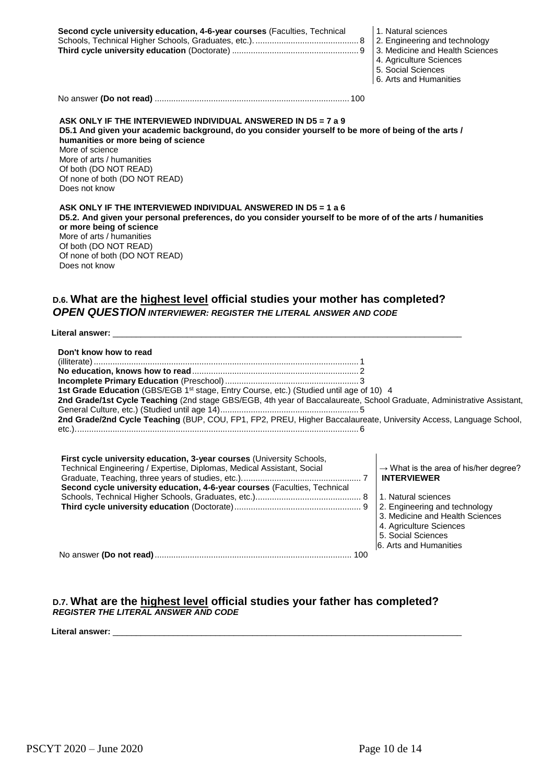| Second cycle university education, 4-6-year courses (Faculties, Technical | 1. Natural so |
|---------------------------------------------------------------------------|---------------|
|                                                                           |               |
|                                                                           |               |
|                                                                           | 4. Agricultur |
|                                                                           |               |

ciences

- ing and technology
- and Health Sciences
- e Sciences
- 5. Social Sciences 6. Arts and Humanities

No answer **(Do not read)** ................................................................................... 100

**ASK ONLY IF THE INTERVIEWED INDIVIDUAL ANSWERED IN D5 = 7 a 9 D5.1 And given your academic background, do you consider yourself to be more of being of the arts / humanities or more being of science** More of science More of arts / humanities Of both (DO NOT READ) Of none of both (DO NOT READ) Does not know

| ASK ONLY IF THE INTERVIEWED INDIVIDUAL ANSWERED IN D5 = 1 a 6                                              |
|------------------------------------------------------------------------------------------------------------|
| D5.2. And given your personal preferences, do you consider yourself to be more of of the arts / humanities |
| or more being of science                                                                                   |
| More of arts / humanities                                                                                  |
| Of both (DO NOT READ)                                                                                      |
| Of none of both (DO NOT READ)                                                                              |
| Does not know                                                                                              |

### **D.6. What are the highest level official studies your mother has completed?** *OPEN QUESTION INTERVIEWER: REGISTER THE LITERAL ANSWER AND CODE*

Literal answer:

| Don't know how to read                                                                                                                                                                                                              |                                                                                                                                                                                                                                               |
|-------------------------------------------------------------------------------------------------------------------------------------------------------------------------------------------------------------------------------------|-----------------------------------------------------------------------------------------------------------------------------------------------------------------------------------------------------------------------------------------------|
|                                                                                                                                                                                                                                     |                                                                                                                                                                                                                                               |
|                                                                                                                                                                                                                                     |                                                                                                                                                                                                                                               |
| 1st Grade Education (GBS/EGB 1 <sup>st</sup> stage, Entry Course, etc.) (Studied until age of 10) 4                                                                                                                                 |                                                                                                                                                                                                                                               |
| 2nd Grade/1st Cycle Teaching (2nd stage GBS/EGB, 4th year of Baccalaureate, School Graduate, Administrative Assistant,                                                                                                              |                                                                                                                                                                                                                                               |
|                                                                                                                                                                                                                                     |                                                                                                                                                                                                                                               |
| 2nd Grade/2nd Cycle Teaching (BUP, COU, FP1, FP2, PREU, Higher Baccalaureate, University Access, Language School,                                                                                                                   |                                                                                                                                                                                                                                               |
|                                                                                                                                                                                                                                     |                                                                                                                                                                                                                                               |
| <b>First cycle university education, 3-year courses (University Schools,</b><br>Technical Engineering / Expertise, Diplomas, Medical Assistant, Social<br>Second cycle university education, 4-6-year courses (Faculties, Technical | $\rightarrow$ What is the area of his/her degree?<br><b>INTERVIEWER</b><br>1. Natural sciences<br>2. Engineering and technology<br>3. Medicine and Health Sciences<br>4. Agriculture Sciences<br>5. Social Sciences<br>6. Arts and Humanities |

No answer **(Do not read)**.................................................................................... 100

### **D.7. What are the highest level official studies your father has completed?** *REGISTER THE LITERAL ANSWER AND CODE*

Literal answer: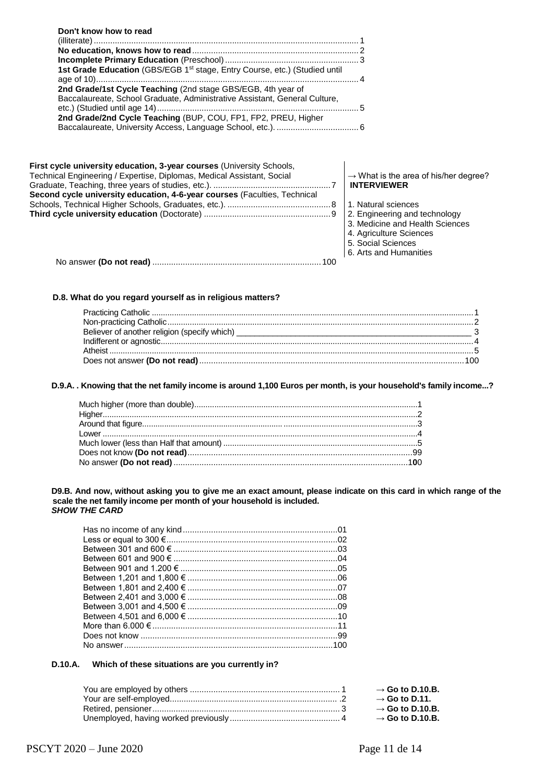| Don't know how to read                                                                                                                          |                                                                                                                                             |
|-------------------------------------------------------------------------------------------------------------------------------------------------|---------------------------------------------------------------------------------------------------------------------------------------------|
|                                                                                                                                                 |                                                                                                                                             |
|                                                                                                                                                 |                                                                                                                                             |
| 1st Grade Education (GBS/EGB 1st stage, Entry Course, etc.) (Studied until                                                                      |                                                                                                                                             |
| 2nd Grade/1st Cycle Teaching (2nd stage GBS/EGB, 4th year of<br>Baccalaureate, School Graduate, Administrative Assistant, General Culture,      |                                                                                                                                             |
| 2nd Grade/2nd Cycle Teaching (BUP, COU, FP1, FP2, PREU, Higher                                                                                  |                                                                                                                                             |
|                                                                                                                                                 |                                                                                                                                             |
| First cycle university education, 3-year courses (University Schools,<br>Technical Engineering / Expertise, Diplomas, Medical Assistant, Social | $\rightarrow$ What is the area of his/her degree?                                                                                           |
| Second cycle university education, 4-6-year courses (Faculties, Technical                                                                       | <b>INTERVIEWER</b>                                                                                                                          |
|                                                                                                                                                 | 1. Natural sciences                                                                                                                         |
|                                                                                                                                                 | 2. Engineering and technology<br>3. Medicine and Health Sciences<br>4. Agriculture Sciences<br>5. Social Sciences<br>6. Arts and Humanities |
|                                                                                                                                                 |                                                                                                                                             |

### **D.8. What do you regard yourself as in religious matters?**

### **D.9.A. . Knowing that the net family income is around 1,100 Euros per month, is your household's family income...?**

**D9.B. And now, without asking you to give me an exact amount, please indicate on this card in which range of the scale the net family income per month of your household is included.** *SHOW THE CARD*

### **D.10.A. Which of these situations are you currently in?**

| $\rightarrow$ Go to D.10.B. |
|-----------------------------|
| $\rightarrow$ Go to D.11.   |
| $\rightarrow$ Go to D.10.B. |
| $\rightarrow$ Go to D.10.B. |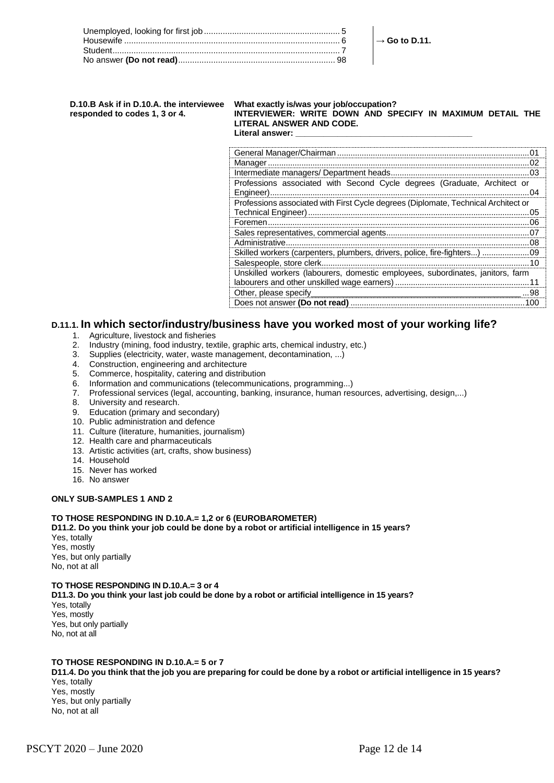#### **D.10.B Ask if in D.10.A. the interviewee responded to codes 1, 3 or 4. What exactly is/was your job/occupation? INTERVIEWER: WRITE DOWN AND SPECIFY IN MAXIMUM DETAIL THE LITERAL ANSWER AND CODE.** Literal answer:

| Professions associated with Second Cycle degrees (Graduate, Architect or           |
|------------------------------------------------------------------------------------|
|                                                                                    |
| Professions associated with First Cycle degrees (Diplomate, Technical Architect or |
| Technical Engineer)<br>05<br>                                                      |
| Foremen<br>റഭ                                                                      |
|                                                                                    |
| 08                                                                                 |
| Skilled workers (carpenters, plumbers, drivers, police, fire-fighters)<br>09       |
|                                                                                    |
| Unskilled workers (labourers, domestic employees, subordinates, janitors, farm     |
| labourers and other unskilled wage earners)                                        |
| Other, please specify<br>. 98                                                      |
| Does not answer (Do not read)<br>100                                               |

→ **Go to D.11.**

### **D.11.1. In which sector/industry/business have you worked most of your working life?**

- 1. Agriculture, livestock and fisheries<br>2. Industry (mining, food industry, tex
- 2. Industry (mining, food industry, textile, graphic arts, chemical industry, etc.)
- 3. Supplies (electricity, water, waste management, decontamination, ...)
- 4. Construction, engineering and architecture
- 5. Commerce, hospitality, catering and distribution
- 6. Information and communications (telecommunications, programming...)
- 7. Professional services (legal, accounting, banking, insurance, human resources, advertising, design,...)
- 8. University and research.
- 9. Education (primary and secondary)
- 10. Public administration and defence
- 11. Culture (literature, humanities, journalism)
- 12. Health care and pharmaceuticals
- 13. Artistic activities (art, crafts, show business)
- 14. Household
- 15. Never has worked
- 16. No answer

#### **ONLY SUB-SAMPLES 1 AND 2**

#### **TO THOSE RESPONDING IN D.10.A.= 1,2 or 6 (EUROBAROMETER)**

**D11.2. Do you think your job could be done by a robot or artificial intelligence in 15 years?**

Yes, totally Yes, mostly Yes, but only partially No, not at all

#### **TO THOSE RESPONDING IN D.10.A.= 3 or 4**

**D11.3. Do you think your last job could be done by a robot or artificial intelligence in 15 years?** Yes, totally Yes, mostly Yes, but only partially No, not at all

### **TO THOSE RESPONDING IN D.10.A.= 5 or 7**

**D11.4. Do you think that the job you are preparing for could be done by a robot or artificial intelligence in 15 years?** Yes, totally

Yes, mostly Yes, but only partially No, not at all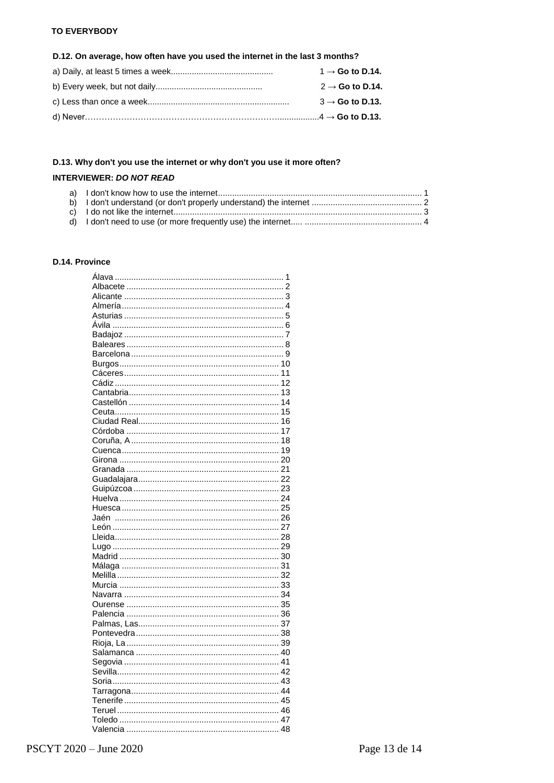### **TO EVERYBODY**

### D.12. On average, how often have you used the internet in the last 3 months?

| $1 \rightarrow$ Go to D.14. |
|-----------------------------|
| $2 \rightarrow$ Go to D.14. |
| $3 \rightarrow$ Go to D.13. |
|                             |

### D.13. Why don't you use the internet or why don't you use it more often?

### **INTERVIEWER: DO NOT READ**

### D.14. Province

| 1 |  |
|---|--|
|   |  |
|   |  |
|   |  |
|   |  |
|   |  |
|   |  |
|   |  |
|   |  |
|   |  |
|   |  |
|   |  |
|   |  |
|   |  |
|   |  |
|   |  |
|   |  |
|   |  |
|   |  |
|   |  |
|   |  |
|   |  |
|   |  |
|   |  |
|   |  |
|   |  |
|   |  |
|   |  |
|   |  |
|   |  |
|   |  |
|   |  |
|   |  |
|   |  |
|   |  |
|   |  |
|   |  |
|   |  |
|   |  |
|   |  |
|   |  |
|   |  |
|   |  |
|   |  |
|   |  |
|   |  |
|   |  |
|   |  |
|   |  |